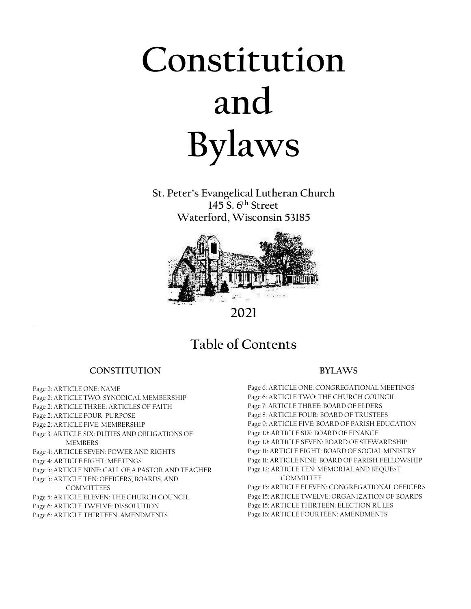# **Constitution and Bylaws**

**St. Peter's Evangelical Lutheran Church 145 S. 6th Street Waterford, Wisconsin 53185**



**2021**

## **Table of Contents**

### **CONSTITUTION**

Page 2: ARTICLE ONE: NAME Page 2: ARTICLE TWO: SYNODICAL MEMBERSHIP Page 2: ARTICLE THREE: ARTICLES OF FAITH Page 2: ARTICLE FOUR: PURPOSE Page 2: ARTICLE FIVE: MEMBERSHIP Page 3: ARTICLE SIX: DUTIES AND OBLIGATIONS OF MEMBERS Page 4: ARTICLE SEVEN: POWER AND RIGHTS Page 4: ARTICLE EIGHT: MEETINGS Page 5: ARTICLE NINE: CALL OF A PASTOR AND TEACHER Page 5: ARTICLE TEN: OFFICERS, BOARDS, AND COMMITTEES Page 5: ARTICLE ELEVEN: THE CHURCH COUNCIL Page 6: ARTICLE TWELVE: DISSOLUTION Page 6: ARTICLE THIRTEEN: AMENDMENTS

 $\overline{1}$ 

### **BYLAWS**

Page 6: ARTICLE ONE: CONGREGATIONAL MEETINGS Page 6: ARTICLE TWO: THE CHURCH COUNCIL Page 7: ARTICLE THREE: BOARD OF ELDERS Page 8: ARTICLE FOUR: BOARD OF TRUSTEES Page 9: ARTICLE FIVE: BOARD OF PARISH EDUCATION Page 10: ARTICLE SIX: BOARD OF FINANCE Page 10: ARTICLE SEVEN: BOARD OF STEWARDSHIP Page 11: ARTICLE EIGHT: BOARD OF SOCIAL MINISTRY Page 11: ARTICLE NINE: BOARD OF PARISH FELLOWSHIP Page 12: ARTICLE TEN: MEMORIAL AND BEQUEST COMMITTEE Page 15: ARTICLE ELEVEN: CONGREGATIONAL OFFICERS

Page 15: ARTICLE TWELVE: ORGANIZATION OF BOARDS Page 15: ARTICLE THIRTEEN: ELECTION RULES Page 16: ARTICLE FOURTEEN: AMENDMENTS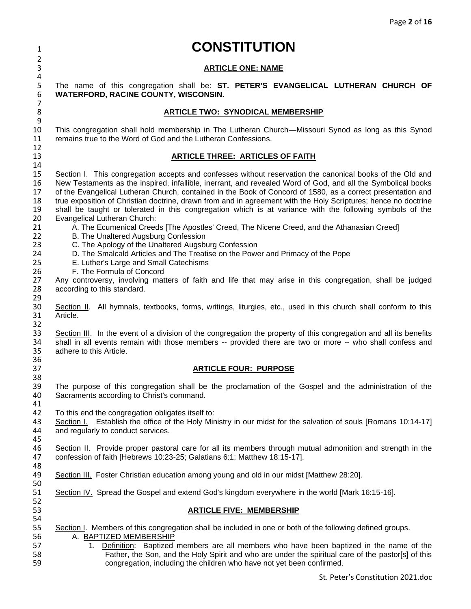# <sup>1</sup> **CONSTITUTION**

### 3 **ARTICLE ONE: NAME**

5 The name of this congregation shall be: **ST. PETER'S EVANGELICAL LUTHERAN CHURCH OF**  6 **WATERFORD, RACINE COUNTY, WISCONSIN.**

### 8 **ARTICLE TWO: SYNODICAL MEMBERSHIP**

 $\frac{9}{10}$ 10 This congregation shall hold membership in The Lutheran Church—Missouri Synod as long as this Synod remains true to the Word of God and the Lutheran Confessions.

### 13 **ARTICLE THREE: ARTICLES OF FAITH**

15 Section I. This congregation accepts and confesses without reservation the canonical books of the Old and<br>16 New Testaments as the inspired, infallible, inerrant, and revealed Word of God, and all the Symbolical books 16 New Testaments as the inspired, infallible, inerrant, and revealed Word of God, and all the Symbolical books<br>17 of the Evangelical Lutheran Church, contained in the Book of Concord of 1580, as a correct presentation and 17 of the Evangelical Lutheran Church, contained in the Book of Concord of 1580, as a correct presentation and 18 true exposition of Christian doctrine, drawn from and in agreement with the Holy Scriptures; hence no doctrine<br>19 shall be taught or tolerated in this congregation which is at variance with the following symbols of the 19 shall be taught or tolerated in this congregation which is at variance with the following symbols of the 20<br>20 Evangelical Lutheran Church: Evangelical Lutheran Church:

- 21 A. The Ecumenical Creeds [The Apostles' Creed, The Nicene Creed, and the Athanasian Creed]<br>22 B. The Unaltered Augsburg Confession
- 22 B. The Unaltered Augsburg Confession<br>23 C. The Apology of the Unaltered Augsbu
- 23 C. The Apology of the Unaltered Augsburg Confession<br>24 D. The Smalcald Articles and The Treatise on the Powe
- 24 D. The Smalcald Articles and The Treatise on the Power and Primacy of the Pope<br>25 E. Luther's Large and Small Catechisms
- 25 E. Luther's Large and Small Catechisms<br>26 F. The Formula of Concord
	- F. The Formula of Concord

2

 $\frac{4}{5}$ 

7

 $\frac{12}{13}$ 

14

32

38

41

52<br>53

27 Any controversy, involving matters of faith and life that may arise in this congregation, shall be judged 28 according to this standard. according to this standard.

29<br>30 30 Section II. All hymnals, textbooks, forms, writings, liturgies, etc., used in this church shall conform to this 31 Article. Article.

33 Section III. In the event of a division of the congregation the property of this congregation and all its benefits<br>34 shall in all events remain with those members -- provided there are two or more -- who shall confess 34 shall in all events remain with those members -- provided there are two or more -- who shall confess and 35 adhere to this Article. adhere to this Article. 36<br>37

### 37 **ARTICLE FOUR: PURPOSE**

39 The purpose of this congregation shall be the proclamation of the Gospel and the administration of the 40<br>40 Sacraments according to Christ's command. Sacraments according to Christ's command.

42 To this end the congregation obligates itself to:

43 Section I. Establish the office of the Holy Ministry in our midst for the salvation of souls [Romans 10:14-17]<br>44 and regularly to conduct services. and regularly to conduct services. 45

46 Section II. Provide proper pastoral care for all its members through mutual admonition and strength in the<br>47 confession of faith [Hebrews 10:23-25; Galatians 6:1; Matthew 18:15-17]. 47 confession of faith [Hebrews 10:23-25; Galatians 6:1; Matthew 18:15-17].

48<br>49 Section III. Foster Christian education among young and old in our midst [Matthew 28:20].

50<br>51 Section IV. Spread the Gospel and extend God's kingdom everywhere in the world [Mark 16:15-16].

### 53 **ARTICLE FIVE: MEMBERSHIP**

54<br>55 55 Section I. Members of this congregation shall be included in one or both of the following defined groups.<br>56 A. BAPTIZED MEMBERSHIP

- 56 A. **BAPTIZED MEMBERSHIP**<br>57 1. Definition: Baptized i
- 57 1. Definition: Baptized members are all members who have been baptized in the name of the<br>58 58 Father, the Son, and the Holy Spirit and who are under the spiritual care of the pastor sl of this 58 Father, the Son, and the Holy Spirit and who are under the spiritual care of the pastor[s] of this<br>59 congregation, including the children who have not yet been confirmed. congregation, including the children who have not yet been confirmed.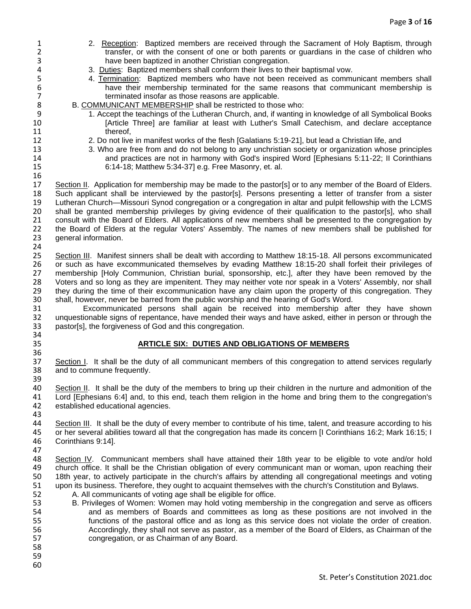1 2. Reception: Baptized members are received through the Sacrament of Holy Baptism, through transfer. or with the consent of one or both parents or quardians in the case of children who 2 transfer, or with the consent of one or both parents or guardians in the case of children who<br>3 have been baptized in another Christian congregation. 4 3. Duties: Baptized members shall conform their lives to their baptismal vow.<br>5 4. Termination: Baptized members who have not been received as commu 4. Termination: Baptized members who have not been received as communicant members shall 6 have their membership terminated for the same reasons that communicant membership is terminated insofar as those reasons are applicable. 7 terminated insofar as those reasons are applicable.<br>8 B. COMMUNICANT MEMBERSHIP shall be restricted to thos 8 B. COMMUNICANT MEMBERSHIP shall be restricted to those who:<br>9 1. Accept the teachings of the Lutheran Church, and, if wanting 9 1. Accept the teachings of the Lutheran Church, and, if wanting in knowledge of all Symbolical Books 10 [Article Three] are familiar at least with Luther's Small Catechism, and declare acceptance 11 thereof. 12 2. Do not live in manifest works of the flesh [Galatians 5:19-21], but lead a Christian life, and<br>13 3. Who are free from and do not belong to any unchristian society or organization whose p 13 3. Who are free from and do not belong to any unchristian society or organization whose principles 14 and practices are not in harmony with God's inspired Word [Ephesians 5:11-22; II Corinthians 15<br>15 6:14-18: Matthew 5:34-371 e.g. Free Masonry et al 15 6:14-18; Matthew 5:34-37] e.g. Free Masonry, et. al. 16 17 Section II. Application for membership may be made to the pastor[s] or to any member of the Board of Elders. 18 Such applicant shall be interviewed by the pastor[s]. Persons presenting a letter of transfer from a sister<br>19 Lutheran Church—Missouri Synod congregation or a congregation in altar and pulpit fellowship with the LCMS 19 Lutheran Church—Missouri Synod congregation or a congregation in altar and pulpit fellowship with the LCMS 20 shall be granted membership privileges by giving evidence of their qualification to the pastor[s], who shall<br>21 consult with the Board of Elders. All applications of new members shall be presented to the congregation by 21 consult with the Board of Elders. All applications of new members shall be presented to the congregation by 22 the Board of Elders at the regular Voters' Assembly. The names of new members shall be published for 23 canneral information. general information. 24<br>25 25 Section III. Manifest sinners shall be dealt with according to Matthew 18:15-18. All persons excommunicated<br>26 or such as have excommunicated themselves by evading Matthew 18:15-20 shall forfeit their privileges of 26 or such as have excommunicated themselves by evading Matthew 18:15-20 shall forfeit their privileges of 27 membership [Holy Communion, Christian burial, sponsorship, etc.], after they have been removed by the membership [Holy Communion, Christian burial, sponsorship, etc.], after they have been removed by the 28 Voters and so long as they are impenitent. They may neither vote nor speak in a Voters' Assembly, nor shall 29 they during the time of their excommunication have any claim upon the property of this congregation. They<br>30 shall, however, never be barred from the public worship and the hearing of God's Word. 30 shall, however, never be barred from the public worship and the hearing of God's Word. 31 Excommunicated persons shall again be received into membership after they have shown 32 unquestionable signs of repentance, have mended their ways and have asked, either in person or through the<br>33 pastor[s], the forgiveness of God and this congregation. pastor[s], the forgiveness of God and this congregation. 34<br>35 35 **ARTICLE SIX: DUTIES AND OBLIGATIONS OF MEMBERS** 36<br>37 37 Section I. It shall be the duty of all communicant members of this congregation to attend services regularly 38 and to commune frequently. and to commune frequently. 39<br>40 40 Section II. It shall be the duty of the members to bring up their children in the nurture and admonition of the<br>41 Lord [Ephesians 6:4] and, to this end, teach them religion in the home and bring them to the congregatio 41 Lord [Ephesians 6:4] and, to this end, teach them religion in the home and bring them to the congregation's 42 established educational agencies. established educational agencies. 43<br>44 Section III. It shall be the duty of every member to contribute of his time, talent, and treasure according to his 45 or her several abilities toward all that the congregation has made its concern [I Corinthians 16:2; Mark 16:15; I Corinthians 9:14]. 47 48 Section IV. Communicant members shall have attained their 18th year to be eligible to vote and/or hold<br>49 church office. It shall be the Christian obligation of every communicant man or woman, upon reaching their church office. It shall be the Christian obligation of every communicant man or woman, upon reaching their 50 18th year, to actively participate in the church's affairs by attending all congregational meetings and voting 51 upon its business. Therefore, they ought to acquaint themselves with the church's Constitution and Bylaws.<br>52 A. All communicants of voting age shall be eligible for office. 52 A. All communicants of voting age shall be eligible for office.<br>53 B. Privileges of Women: Women may hold voting members 53 B. Privileges of Women: Women may hold voting membership in the congregation and serve as officers<br>54 and as members of Boards and committees as long as these positions are not involved in the and as members of Boards and committees as long as these positions are not involved in the 55 functions of the pastoral office and as long as this service does not violate the order of creation. 56 Accordingly, they shall not serve as pastor, as a member of the Board of Elders, as Chairman of the 57 congregation, or as Chairman of any Board. 58 59 60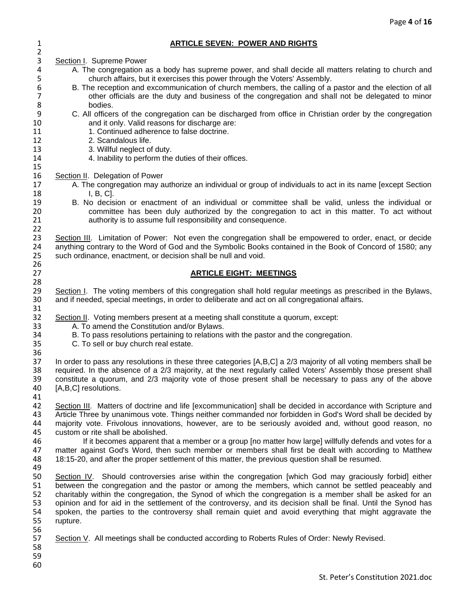### 1 **ARTICLE SEVEN: POWER AND RIGHTS**

 $\frac{2}{3}$ 3 Section I. Supreme Power<br>4 A. The congregation a 4 A. The congregation as a body has supreme power, and shall decide all matters relating to church and<br>5 church affairs, but it exercises this power through the Voters' Assembly. 5 church affairs, but it exercises this power through the Voters' Assembly.<br>5 B. The reception and excommunication of church members, the calling of a 6 B. The reception and excommunication of church members, the calling of a pastor and the election of all<br>7 other officials are the duty and business of the congregation and shall not be delegated to minor 7 other officials are the duty and business of the congregation and shall not be delegated to minor<br>8 bodies. 8 bodies.<br>9 C. All officer 9 C. All officers of the congregation can be discharged from office in Christian order by the congregation 10 and it only. Valid reasons for discharge are: 11 1. Continued adherence to false doctrine. 12 2. Scandalous life. 13 3. Willful neglect of duty. 14 4. Inability to perform the duties of their offices. 15 16 Section II. Delegation of Power 17 A. The congregation may authorize an individual or group of individuals to act in its name [except Section 18 I, B, C].<br>19 B. No decis 19 B. No decision or enactment of an individual or committee shall be valid, unless the individual or<br>10 committee has been duly authorized by the congregation to act in this matter. To act without 20 committee has been duly authorized by the congregation to act in this matter. To act without 21 carrier authority is to assume full responsibility and consequence. authority is to assume full responsibility and consequence. 22<br>23 23 Section III. Limitation of Power: Not even the congregation shall be empowered to order, enact, or decide<br>24 anything contrary to the Word of God and the Symbolic Books contained in the Book of Concord of 1580: any 24 anything contrary to the Word of God and the Symbolic Books contained in the Book of Concord of 1580; any <br>25 such ordinance, enactment, or decision shall be null and void. such ordinance, enactment, or decision shall be null and void. 26<br>27 27 **ARTICLE EIGHT: MEETINGS** 28<br>29 29 Section I. The voting members of this congregation shall hold regular meetings as prescribed in the Bylaws,<br>30 and if needed, special meetings, in order to deliberate and act on all congregational affairs. and if needed, special meetings, in order to deliberate and act on all congregational affairs. 31<br>32 32 Section II. Voting members present at a meeting shall constitute a quorum, except:<br>33 A. To amend the Constitution and/or Bylaws. 33 A. To amend the Constitution and/or Bylaws.<br>34 B. To pass resolutions pertaining to relations 34 B. To pass resolutions pertaining to relations with the pastor and the congregation.<br>35 C. To sell or buy church real estate. C. To sell or buy church real estate. 36<br>37 37 In order to pass any resolutions in these three categories [A,B,C] a 2/3 majority of all voting members shall be<br>38 required. In the absence of a 2/3 majority, at the next requiarly called Voters' Assembly those present required. In the absence of a 2/3 majority, at the next regularly called Voters' Assembly those present shall 39 constitute a quorum, and 2/3 majority vote of those present shall be necessary to pass any of the above 40 [A,B,C] resolutions.  $[A,B,C]$  resolutions. 41<br>42 42 Section III. Matters of doctrine and life [excommunication] shall be decided in accordance with Scripture and<br>43 Article Three by unanimous vote. Things neither commanded nor forbidden in God's Word shall be decided by 43 Article Three by unanimous vote. Things neither commanded nor forbidden in God's Word shall be decided by<br>44 maiority vote. Frivolous innovations, however, are to be seriously avoided and, without good reason, no majority vote. Frivolous innovations, however, are to be seriously avoided and, without good reason, no 45 custom or rite shall be abolished.<br>46 fit becomes apparent that 16 If it becomes apparent that a member or a group [no matter how large] willfully defends and votes for a<br>47 If matter against God's Word, then such member or members shall first be dealt with according to Matthew matter against God's Word, then such member or members shall first be dealt with according to Matthew 48 18:15-20, and after the proper settlement of this matter, the previous question shall be resumed. 49 50 Section IV. Should controversies arise within the congregation [which God may graciously forbid] either 51 between the congregation and the pastor or among the members, which cannot be settled peaceably and<br>52 charitably within the congregation, the Synod of which the congregation is a member shall be asked for an 52 charitably within the congregation, the Synod of which the congregation is a member shall be asked for an<br>53 opinion and for aid in the settlement of the controversy, and its decision shall be final. Until the Synod has 53 opinion and for aid in the settlement of the controversy, and its decision shall be final. Until the Synod has<br>54 spoken, the parties to the controversy shall remain quiet and avoid everything that might aggravate the 54 spoken, the parties to the controversy shall remain quiet and avoid everything that might aggravate the 55 rupture. rupture. 56<br>57 Section V. All meetings shall be conducted according to Roberts Rules of Order: Newly Revised. 58 59 60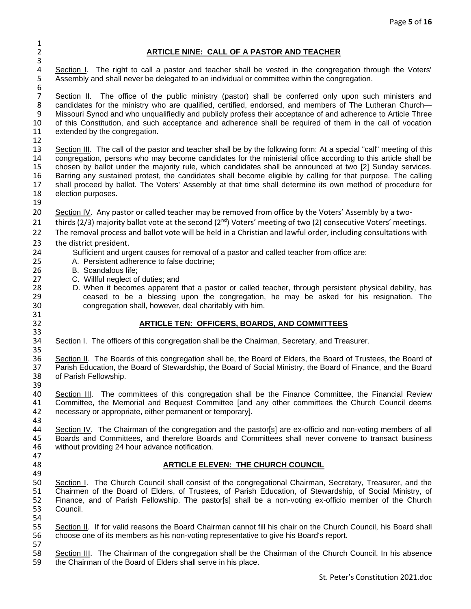2 **ARTICLE NINE: CALL OF A PASTOR AND TEACHER**

4 Section I. The right to call a pastor and teacher shall be vested in the congregation through the Voters'<br>5 Assembly and shall never be delegated to an individual or committee within the congregation. Assembly and shall never be delegated to an individual or committee within the congregation.

6<br>7 7 Section II. The office of the public ministry (pastor) shall be conferred only upon such ministers and candidates for the ministry who are qualified, certified, endorsed, and members of The Lutheran Church— 8 candidates for the ministry who are qualified, certified, endorsed, and members of The Lutheran Church—<br>9 Missouri Synod and who ungualifiedly and publicly profess their acceptance of and adherence to Article Three Missouri Synod and who unqualifiedly and publicly profess their acceptance of and adherence to Article Three 10 of this Constitution, and such acceptance and adherence shall be required of them in the call of vocation 11 extended by the congregation.

12<br>13 Section III. The call of the pastor and teacher shall be by the following form: At a special "call" meeting of this 14 congregation, persons who may become candidates for the ministerial office according to this article shall be<br>15 chosen by ballot under the majority rule, which candidates shall be announced at two [2] Sunday services 15 chosen by ballot under the majority rule, which candidates shall be announced at two [2] Sunday services. 16 Barring any sustained protest, the candidates shall become eligible by calling for that purpose. The calling 17 shall proceed by ballot. The Voters' Assembly at that time shall determine its own method of procedure for 18 election purposes.

19

31

33

 $\frac{1}{2}$ 

3

20 Section IV. Any pastor or called teacher may be removed from office by the Voters' Assembly by a two-

21 thirds (2/3) majority ballot vote at the second ( $2<sup>nd</sup>$ ) Voters' meeting of two (2) consecutive Voters' meetings.

22 The removal process and ballot vote will be held in a Christian and lawful order, including consultations with

- 23 the district president.
- 24 Sufficient and urgent causes for removal of a pastor and called teacher from office are:<br>25 A. Persistent adherence to false doctrine:
- 25 A. Persistent adherence to false doctrine;<br>26 B. Scandalous life:
- 26 B. Scandalous life;<br>27 C. Willful neglect of
- 27 C. Willful neglect of duties; and<br>28 D. When it becomes apparent
- 28 D. When it becomes apparent that a pastor or called teacher, through persistent physical debility, has<br>29 ceased to be a blessing upon the congregation, he may be asked for his resignation. The ceased to be a blessing upon the congregation, he may be asked for his resignation. The 30 congregation shall, however, deal charitably with him.

### 32 **ARTICLE TEN: OFFICERS, BOARDS, AND COMMITTEES**

34 Section I. The officers of this congregation shall be the Chairman, Secretary, and Treasurer. 35

36 Section II. The Boards of this congregation shall be, the Board of Elders, the Board of Trustees, the Board of<br>37 Parish Education, the Board of Stewardship, the Board of Social Ministry, the Board of Finance, and the B 37 Parish Education, the Board of Stewardship, the Board of Social Ministry, the Board of Finance, and the Board<br>38 of Parish Fellowship. of Parish Fellowship.

39<br>40 40 Section III. The committees of this congregation shall be the Finance Committee, the Financial Review<br>41 Committee, the Memorial and Bequest Committee [and any other committees the Church Council deems 41 Committee, the Memorial and Bequest Committee [and any other committees the Church Council deems 42 necessary or appropriate, either permanent or temporary].

43 Section IV. The Chairman of the congregation and the pastor[s] are ex-officio and non-voting members of all 45 Boards and Committees, and therefore Boards and Committees shall never convene to transact business 46 without providing 24 hour advance notification.

47

### 48 **ARTICLE ELEVEN: THE CHURCH COUNCIL**

49<br>50 50 Section I. The Church Council shall consist of the congregational Chairman, Secretary, Treasurer, and the 51 Chairmen of the Board of Elders, of Trustees, of Parish Education, of Stewardship, of Social Ministry, of 51 Chairmen of the Board of Elders, of Trustees, of Parish Education, of Stewardship, of Social Ministry, of<br>52 Finance, and of Parish Fellowship. The pastor[s] shall be a non-voting ex-officio member of the Church Finance, and of Parish Fellowship. The pastor[s] shall be a non-voting ex-officio member of the Church 53 Council.

54<br>55 55 Section II. If for valid reasons the Board Chairman cannot fill his chair on the Church Council, his Board shall 56 choose one of its members as his non-voting representative to give his Board's report.

57<br>58 58 Section III. The Chairman of the congregation shall be the Chairman of the Church Council. In his absence the Chairman of the Board of Elders shall serve in his place. the Chairman of the Board of Elders shall serve in his place.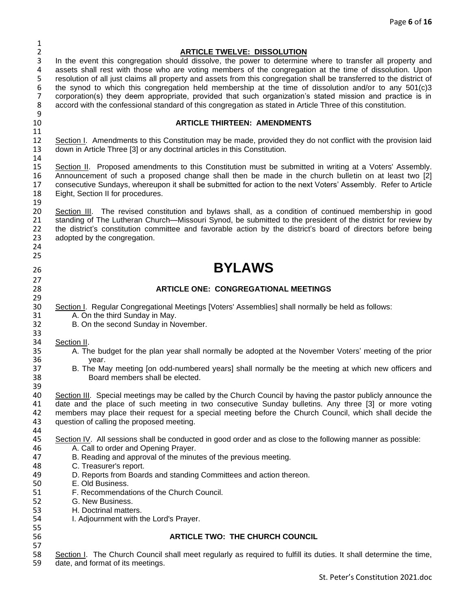| $\mathbf{1}$   |                                                                                                                       |
|----------------|-----------------------------------------------------------------------------------------------------------------------|
| $\overline{2}$ | <b>ARTICLE TWELVE: DISSOLUTION</b>                                                                                    |
| 3              | In the event this congregation should dissolve, the power to determine where to transfer all property and             |
| 4              | assets shall rest with those who are voting members of the congregation at the time of dissolution. Upon              |
| 5              | resolution of all just claims all property and assets from this congregation shall be transferred to the district of  |
| 6              | the synod to which this congregation held membership at the time of dissolution and/or to any 501(c)3                 |
| $\overline{7}$ | corporation(s) they deem appropriate, provided that such organization's stated mission and practice is in             |
| 8              | accord with the confessional standard of this congregation as stated in Article Three of this constitution.           |
| 9              |                                                                                                                       |
| 10             | <b>ARTICLE THIRTEEN: AMENDMENTS</b>                                                                                   |
| 11             |                                                                                                                       |
| 12             | Section I. Amendments to this Constitution may be made, provided they do not conflict with the provision laid         |
| 13             | down in Article Three [3] or any doctrinal articles in this Constitution.                                             |
| 14             |                                                                                                                       |
| 15             | Section II. Proposed amendments to this Constitution must be submitted in writing at a Voters' Assembly.              |
| 16             | Announcement of such a proposed change shall then be made in the church bulletin on at least two [2]                  |
| 17             | consecutive Sundays, whereupon it shall be submitted for action to the next Voters' Assembly. Refer to Article        |
| 18             | Eight, Section II for procedures.                                                                                     |
| 19             |                                                                                                                       |
| 20             | Section III. The revised constitution and bylaws shall, as a condition of continued membership in good                |
|                |                                                                                                                       |
| 21             | standing of The Lutheran Church-Missouri Synod, be submitted to the president of the district for review by           |
| 22             | the district's constitution committee and favorable action by the district's board of directors before being          |
| 23             | adopted by the congregation.                                                                                          |
| 24             |                                                                                                                       |
| 25             |                                                                                                                       |
| 26             | <b>BYLAWS</b>                                                                                                         |
| 27             |                                                                                                                       |
| 28             | <b>ARTICLE ONE: CONGREGATIONAL MEETINGS</b>                                                                           |
| 29             |                                                                                                                       |
| 30             | Section I. Regular Congregational Meetings [Voters' Assemblies] shall normally be held as follows:                    |
| 31             | A. On the third Sunday in May.                                                                                        |
| 32             | B. On the second Sunday in November.                                                                                  |
| 33             |                                                                                                                       |
| 34             |                                                                                                                       |
| 35             | Section II.<br>A. The budget for the plan year shall normally be adopted at the November Voters' meeting of the prior |
|                |                                                                                                                       |
| 36             | year.                                                                                                                 |
| 37             | B. The May meeting [on odd-numbered years] shall normally be the meeting at which new officers and                    |
| 38             | Board members shall be elected.                                                                                       |
| 39             |                                                                                                                       |
| 40             | Section III. Special meetings may be called by the Church Council by having the pastor publicly announce the          |
| 41             | date and the place of such meeting in two consecutive Sunday bulletins. Any three [3] or more voting                  |
| 42             | members may place their request for a special meeting before the Church Council, which shall decide the               |
| 43             | question of calling the proposed meeting.                                                                             |
| 44             |                                                                                                                       |
| 45             | Section IV. All sessions shall be conducted in good order and as close to the following manner as possible:           |
| 46             | A. Call to order and Opening Prayer.                                                                                  |
| 47             | B. Reading and approval of the minutes of the previous meeting.                                                       |
| 48             | C. Treasurer's report.                                                                                                |
| 49             | D. Reports from Boards and standing Committees and action thereon.                                                    |
| 50             | E. Old Business.                                                                                                      |
| 51             | F. Recommendations of the Church Council.                                                                             |
| 52             | G. New Business.                                                                                                      |
| 53             | H. Doctrinal matters.                                                                                                 |
| 54             | I. Adjournment with the Lord's Prayer.                                                                                |
| 55             |                                                                                                                       |
| 56             | <b>ARTICLE TWO: THE CHURCH COUNCIL</b>                                                                                |
| 57             |                                                                                                                       |
| 58             | Section I. The Church Council shall meet regularly as required to fulfill its duties. It shall determine the time,    |
|                |                                                                                                                       |
| 59             | date, and format of its meetings.                                                                                     |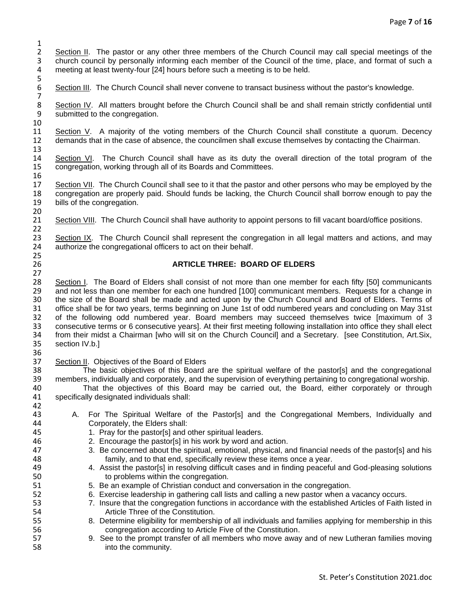$\frac{1}{2}$ 2 Section II. The pastor or any other three members of the Church Council may call special meetings of the<br>2 church council by personally informing each member of the Council of the time, place, and format of such a 3 church council by personally informing each member of the Council of the time, place, and format of such a 4 meeting at least twenty-four [24] hours before such a meeting is to be held. 5

Section III. The Church Council shall never convene to transact business without the pastor's knowledge.

7 8 Section IV. All matters brought before the Church Council shall be and shall remain strictly confidential until<br>9 submitted to the congregation. submitted to the congregation.

10 11 Section V. A majority of the voting members of the Church Council shall constitute a quorum. Decency 12 demands that in the case of absence, the councilmen shall excuse themselves by contacting the Chairman.

14 Section VI. The Church Council shall have as its duty the overall direction of the total program of the 15<br>15 congregation, working through all of its Boards and Committees. congregation, working through all of its Boards and Committees.

17 Section VII. The Church Council shall see to it that the pastor and other persons who may be employed by the 18 congregation are properly paid. Should funds be lacking, the Church Council shall borrow enough to pay the 19 bills of the congregation. bills of the congregation.

20<br>21 Section VIII. The Church Council shall have authority to appoint persons to fill vacant board/office positions.

22<br>23 23 Section IX. The Church Council shall represent the congregation in all legal matters and actions, and may<br>24 authorize the congregational officers to act on their behalf. authorize the congregational officers to act on their behalf.

### 26 **ARTICLE THREE: BOARD OF ELDERS**

28 Section I. The Board of Elders shall consist of not more than one member for each fifty [50] communicants<br>29 and not less than one member for each one hundred [100] communicant members. Requests for a change in 29 and not less than one member for each one hundred [100] communicant members. Requests for a change in 30 the Board shall be made and acted upon by the Church Council and Board of Elders. Terms of 30 the size of the Board shall be made and acted upon by the Church Council and Board of Elders. Terms of 31 office shall be for two years, terms beginning on June 1st of odd numbered years and concluding on May 31st 31 office shall be for two years, terms beginning on June 1st of odd numbered years and concluding on May 31st<br>32 of the following odd numbered year. Board members may succeed themselves twice [maximum of 3 32 of the following odd numbered year. Board members may succeed themselves twice [maximum of 3<br>33 consecutive terms or 6 consecutive years]. At their first meeting following installation into office they shall elect 33 consecutive terms or 6 consecutive years]. At their first meeting following installation into office they shall elect<br>34 from their midst a Chairman [who will sit on the Church Council] and a Secretary. [see Constitutio 34 from their midst a Chairman [who will sit on the Church Council] and a Secretary. [see Constitution, Art.Six, 35 section IV.b.] section IV.b.]

36<br>37

13

16

 $\frac{25}{26}$ 

27

37 Section II. Objectives of the Board of Elders<br>38 The basic objectives of this Board 38 The basic objectives of this Board are the spiritual welfare of the pastor[s] and the congregational<br>39 members, individually and corporately, and the supervision of everything pertaining to congregational worship 39 members, individually and corporately, and the supervision of everything pertaining to congregational worship.<br>40 That the objectives of this Board may be carried out, the Board, either corporately or through

40 That the objectives of this Board may be carried out, the Board, either corporately or through<br>41 specifically designated individuals shall: specifically designated individuals shall: 42<br>43

- 43 A. For The Spiritual Welfare of the Pastor[s] and the Congregational Members, Individually and<br>44 Corporately the Elders shall: Corporately, the Elders shall:
- 45 1. Pray for the pastor[s] and other spiritual leaders.
- 46 2. Encourage the pastor[s] in his work by word and action.
- 47 3. Be concerned about the spiritual, emotional, physical, and financial needs of the pastor[s] and his 48 family, and to that end, specifically review these items once a year.<br>49 4. Assist the pastor[s] in resolving difficult cases and in finding peaceful
- 4. Assist the pastor[s] in resolving difficult cases and in finding peaceful and God-pleasing solutions 50 to problems within the congregation.
- 51 5. Be an example of Christian conduct and conversation in the congregation.<br>52 6. Exercise leadership in gathering call lists and calling a new pastor when a
- 52 6. Exercise leadership in gathering call lists and calling a new pastor when a vacancy occurs.<br>53 53 T. Insure that the congregation functions in accordance with the established Articles of Faith li
- 53 7. Insure that the congregation functions in accordance with the established Articles of Faith listed in<br>54 **Article Three of the Constitution**. Article Three of the Constitution.
- 55 8. Determine eligibility for membership of all individuals and families applying for membership in this 56 congregation according to Article Five of the Constitution.
- 57 9. See to the prompt transfer of all members who move away and of new Lutheran families moving 58 into the community.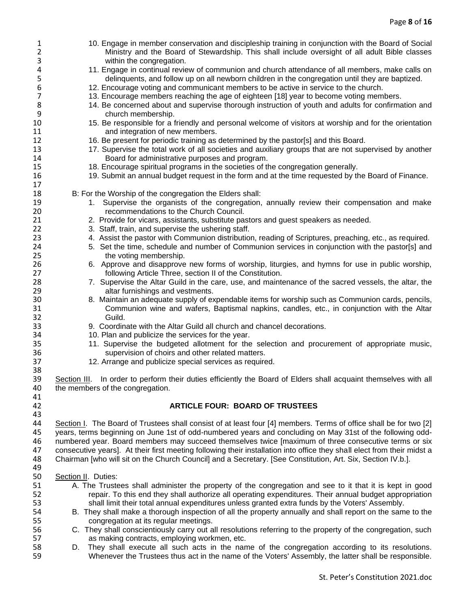| $\mathbf{1}$<br>$\overline{2}$<br>3 | 10. Engage in member conservation and discipleship training in conjunction with the Board of Social<br>Ministry and the Board of Stewardship. This shall include oversight of all adult Bible classes<br>within the congregation. |
|-------------------------------------|-----------------------------------------------------------------------------------------------------------------------------------------------------------------------------------------------------------------------------------|
| 4<br>5                              | 11. Engage in continual review of communion and church attendance of all members, make calls on<br>delinquents, and follow up on all newborn children in the congregation until they are baptized.                                |
| 6                                   | 12. Encourage voting and communicant members to be active in service to the church.                                                                                                                                               |
| 7                                   | 13. Encourage members reaching the age of eighteen [18] year to become voting members.                                                                                                                                            |
| 8                                   | 14. Be concerned about and supervise thorough instruction of youth and adults for confirmation and                                                                                                                                |
| 9                                   | church membership.                                                                                                                                                                                                                |
| 10                                  | 15. Be responsible for a friendly and personal welcome of visitors at worship and for the orientation                                                                                                                             |
| 11                                  | and integration of new members.                                                                                                                                                                                                   |
| 12                                  | 16. Be present for periodic training as determined by the pastor[s] and this Board.                                                                                                                                               |
| 13                                  | 17. Supervise the total work of all societies and auxiliary groups that are not supervised by another                                                                                                                             |
| 14                                  | Board for administrative purposes and program.                                                                                                                                                                                    |
| 15<br>16                            | 18. Encourage spiritual programs in the societies of the congregation generally.<br>19. Submit an annual budget request in the form and at the time requested by the Board of Finance.                                            |
| 17                                  |                                                                                                                                                                                                                                   |
| 18                                  | B: For the Worship of the congregation the Elders shall:                                                                                                                                                                          |
| 19                                  | 1. Supervise the organists of the congregation, annually review their compensation and make                                                                                                                                       |
| 20                                  | recommendations to the Church Council.                                                                                                                                                                                            |
| 21                                  | 2. Provide for vicars, assistants, substitute pastors and guest speakers as needed.                                                                                                                                               |
| 22                                  | 3. Staff, train, and supervise the ushering staff.                                                                                                                                                                                |
| 23                                  | 4. Assist the pastor with Communion distribution, reading of Scriptures, preaching, etc., as required.                                                                                                                            |
| 24                                  | 5. Set the time, schedule and number of Communion services in conjunction with the pastor[s] and                                                                                                                                  |
| 25                                  | the voting membership.                                                                                                                                                                                                            |
| 26                                  | 6. Approve and disapprove new forms of worship, liturgies, and hymns for use in public worship,                                                                                                                                   |
| 27                                  | following Article Three, section II of the Constitution.                                                                                                                                                                          |
| 28                                  | 7. Supervise the Altar Guild in the care, use, and maintenance of the sacred vessels, the altar, the                                                                                                                              |
| 29<br>30                            | altar furnishings and vestments.<br>8. Maintain an adequate supply of expendable items for worship such as Communion cards, pencils,                                                                                              |
| 31                                  | Communion wine and wafers, Baptismal napkins, candles, etc., in conjunction with the Altar                                                                                                                                        |
| 32                                  | Guild.                                                                                                                                                                                                                            |
| 33                                  | 9. Coordinate with the Altar Guild all church and chancel decorations.                                                                                                                                                            |
| 34                                  | 10. Plan and publicize the services for the year.                                                                                                                                                                                 |
| 35                                  | 11. Supervise the budgeted allotment for the selection and procurement of appropriate music,                                                                                                                                      |
| 36                                  | supervision of choirs and other related matters.                                                                                                                                                                                  |
| 37                                  | 12. Arrange and publicize special services as required.                                                                                                                                                                           |
| 38                                  |                                                                                                                                                                                                                                   |
| 39                                  | In order to perform their duties efficiently the Board of Elders shall acquaint themselves with all<br>Section III.                                                                                                               |
| 40                                  | the members of the congregation.                                                                                                                                                                                                  |
| 41<br>42                            | <b>ARTICLE FOUR: BOARD OF TRUSTEES</b>                                                                                                                                                                                            |
| 43                                  |                                                                                                                                                                                                                                   |
| 44                                  | Section I. The Board of Trustees shall consist of at least four [4] members. Terms of office shall be for two [2]                                                                                                                 |
| 45                                  | years, terms beginning on June 1st of odd-numbered years and concluding on May 31st of the following odd-                                                                                                                         |
| 46                                  | numbered year. Board members may succeed themselves twice [maximum of three consecutive terms or six                                                                                                                              |
| 47                                  | consecutive years]. At their first meeting following their installation into office they shall elect from their midst a                                                                                                           |
| 48                                  | Chairman [who will sit on the Church Council] and a Secretary. [See Constitution, Art. Six, Section IV.b.].                                                                                                                       |
| 49                                  |                                                                                                                                                                                                                                   |
| 50                                  | Section II. Duties:                                                                                                                                                                                                               |
| 51                                  | A. The Trustees shall administer the property of the congregation and see to it that it is kept in good                                                                                                                           |
| 52                                  | repair. To this end they shall authorize all operating expenditures. Their annual budget appropriation                                                                                                                            |
| 53<br>54                            | shall limit their total annual expenditures unless granted extra funds by the Voters' Assembly.<br>B. They shall make a thorough inspection of all the property annually and shall report on the same to the                      |
| 55                                  | congregation at its regular meetings.                                                                                                                                                                                             |
| 56                                  | C. They shall conscientiously carry out all resolutions referring to the property of the congregation, such                                                                                                                       |
| 57                                  | as making contracts, employing workmen, etc.                                                                                                                                                                                      |
| 58                                  | They shall execute all such acts in the name of the congregation according to its resolutions.<br>D.                                                                                                                              |
| 59                                  | Whenever the Trustees thus act in the name of the Voters' Assembly, the latter shall be responsible.                                                                                                                              |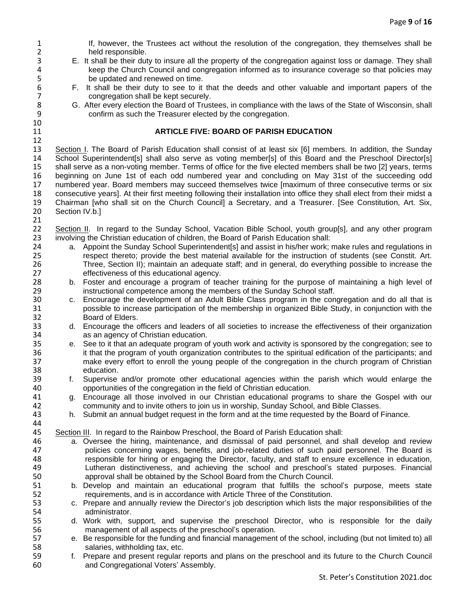- 1 If, however, the Trustees act without the resolution of the congregation, they themselves shall be<br>2 held responsible. 2 held responsible.<br>3 E. It shall be their dut 3 E. It shall be their duty to insure all the property of the congregation against loss or damage. They shall 4 keep the Church Council and congregation informed as to insurance coverage so that policies may<br>5 be updated and renewed on time. 5 be updated and renewed on time.<br>6 F. It shall be their duty to see to it 6 F. It shall be their duty to see to it that the deeds and other valuable and important papers of the 7 congregation shall be kept securely.<br>8 G. After every election the Board of Trust 8 G. After every election the Board of Trustees, in compliance with the laws of the State of Wisconsin, shall<br>9 confirm as such the Treasurer elected by the congregation. confirm as such the Treasurer elected by the congregation. 10 11 **ARTICLE FIVE: BOARD OF PARISH EDUCATION** 12<br>13 Section I. The Board of Parish Education shall consist of at least six [6] members. In addition, the Sunday 14 School Superintendent[s] shall also serve as voting member[s] of this Board and the Preschool Director[s]<br>15 shall serve as a non-voting member. Terms of office for the five elected members shall be two [2] vears, terms shall serve as a non-voting member. Terms of office for the five elected members shall be two [2] years, terms 16 beginning on June 1st of each odd numbered year and concluding on May 31st of the succeeding odd 17 numbered year. Board members may succeed themselves twice [maximum of three consecutive terms or six 18 consecutive years]. At their first meeting following their installation into office they shall elect from their midst a<br>19 Chairman [who shall sit on the Church Council] a Secretary, and a Treasurer. [See Constitution, 19 Chairman [who shall sit on the Church Council] a Secretary, and a Treasurer. [See Constitution, Art. Six, 20 Section IV.b.] 21 22 Section II. In regard to the Sunday School, Vacation Bible School, youth group[s], and any other program 23 involving the Christian education of children. the Board of Parish Education shall: 23 involving the Christian education of children, the Board of Parish Education shall:<br>24 a. Appoint the Sunday School Superintendent sl and assist in his/her work: a. Appoint the Sunday School Superintendent[s] and assist in his/her work; make rules and regulations in 25 respect thereto; provide the best material available for the instruction of students (see Constit. Art. 26 Three, Section II); maintain an adequate staff; and in general, do everything possible to increase the 27 effectiveness of this educational agency. effectiveness of this educational agency. 28 b. Foster and encourage a program of teacher training for the purpose of maintaining a high level of 29 29 instructional competence among the members of the Sunday School staff.<br>20 The members of an Adult Bible Class program in the control of the development of an Adult Bible Class program in the control. 30 c. Encourage the development of an Adult Bible Class program in the congregation and do all that is<br>31 separation of the membership in organized Bible Study, in conjunction with the 31 possible to increase participation of the membership in organized Bible Study, in conjunction with the 32 Board of Elders. 33 d. Encourage the officers and leaders of all societies to increase the effectiveness of their organization<br>34 as an agency of Christian education. 34 as an agency of Christian education.<br>35 e. See to it that an adequate program of e. See to it that an adequate program of youth work and activity is sponsored by the congregation; see to 36 it that the program of youth organization contributes to the spiritual edification of the participants; and 37 make every effort to enroll the young people of the congregation in the church program of Christian 38 education. 39 f. Supervise and/or promote other educational agencies within the parish which would enlarge the 40 opportunities of the congregation in the field of Christian education.<br>41 a. Encourage all those involved in our Christian educational progra 41 g. Encourage all those involved in our Christian educational programs to share the Gospel with our 42 community and to invite others to join us in worship, Sunday School, and Bible Classes.<br>43 h. Submit an annual budget request in the form and at the time requested by the Board of I h. Submit an annual budget request in the form and at the time requested by the Board of Finance. 44 45 Section III. In regard to the Rainbow Preschool, the Board of Parish Education shall:<br>46 **a** Oversee the hiring, maintenance, and dismissal of paid personnel, and s a. Oversee the hiring, maintenance, and dismissal of paid personnel, and shall develop and review 47 policies concerning wages, benefits, and job-related duties of such paid personnel. The Board is 48 responsible for hiring or engaging the Director, faculty, and staff to ensure excellence in education,<br>49 Lutheran distinctiveness, and achieving the school and preschool's stated purposes. Financial Lutheran distinctiveness, and achieving the school and preschool's stated purposes. Financial 50 approval shall be obtained by the School Board from the Church Council. 51 b. Develop and maintain an educational program that fulfills the school's purpose, meets state requirements, and is in accordance with Article Three of the Constitution. 52 requirements, and is in accordance with Article Three of the Constitution.<br>53 c. Prepare and annually review the Director's iob description which lists the 53 c. Prepare and annually review the Director's job description which lists the major responsibilities of the<br>54 administrator. administrator. 55 d. Work with, support, and supervise the preschool Director, who is responsible for the daily 56 management of all aspects of the preschool's operation. 57 e. Be responsible for the funding and financial management of the school, including (but not limited to) all 58 salaries, withholding tax, etc.
- 59 f. Prepare and present regular reports and plans on the preschool and its future to the Church Council 60 and Congregational Voters' Assembly.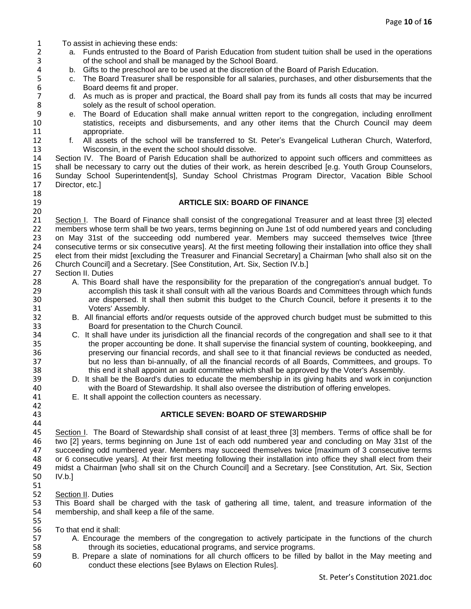| $\mathbf{1}$                       | To assist in achieving these ends:                                                                                                                                                                                    |
|------------------------------------|-----------------------------------------------------------------------------------------------------------------------------------------------------------------------------------------------------------------------|
| $\overline{2}$                     | a. Funds entrusted to the Board of Parish Education from student tuition shall be used in the operations                                                                                                              |
| 3                                  | of the school and shall be managed by the School Board.                                                                                                                                                               |
| 4                                  | b. Gifts to the preschool are to be used at the discretion of the Board of Parish Education.                                                                                                                          |
| 5                                  | The Board Treasurer shall be responsible for all salaries, purchases, and other disbursements that the<br>C.                                                                                                          |
| $\boldsymbol{6}$<br>$\overline{7}$ | Board deems fit and proper.                                                                                                                                                                                           |
| 8                                  | d. As much as is proper and practical, the Board shall pay from its funds all costs that may be incurred<br>solely as the result of school operation.                                                                 |
| 9                                  | e. The Board of Education shall make annual written report to the congregation, including enrollment                                                                                                                  |
| 10                                 | statistics, receipts and disbursements, and any other items that the Church Council may deem                                                                                                                          |
| 11                                 | appropriate.                                                                                                                                                                                                          |
| 12                                 | f. All assets of the school will be transferred to St. Peter's Evangelical Lutheran Church, Waterford,                                                                                                                |
| 13                                 | Wisconsin, in the event the school should dissolve.                                                                                                                                                                   |
| 14                                 | Section IV. The Board of Parish Education shall be authorized to appoint such officers and committees as                                                                                                              |
| 15                                 | shall be necessary to carry out the duties of their work, as herein described [e.g. Youth Group Counselors,                                                                                                           |
| 16                                 | Sunday School Superintendent[s], Sunday School Christmas Program Director, Vacation Bible School                                                                                                                      |
| 17                                 | Director, etc.]                                                                                                                                                                                                       |
| 18                                 |                                                                                                                                                                                                                       |
| 19                                 | <b>ARTICLE SIX: BOARD OF FINANCE</b>                                                                                                                                                                                  |
| 20                                 |                                                                                                                                                                                                                       |
| 21                                 | Section I. The Board of Finance shall consist of the congregational Treasurer and at least three [3] elected                                                                                                          |
| 22                                 | members whose term shall be two years, terms beginning on June 1st of odd numbered years and concluding                                                                                                               |
| 23<br>24                           | on May 31st of the succeeding odd numbered year. Members may succeed themselves twice [three<br>consecutive terms or six consecutive years]. At the first meeting following their installation into office they shall |
| 25                                 | elect from their midst [excluding the Treasurer and Financial Secretary] a Chairman [who shall also sit on the                                                                                                        |
| 26                                 | Church Council] and a Secretary. [See Constitution, Art. Six, Section IV.b.]                                                                                                                                          |
| 27                                 | Section II. Duties                                                                                                                                                                                                    |
| 28                                 | A. This Board shall have the responsibility for the preparation of the congregation's annual budget. To                                                                                                               |
| 29                                 | accomplish this task it shall consult with all the various Boards and Committees through which funds                                                                                                                  |
| 30                                 | are dispersed. It shall then submit this budget to the Church Council, before it presents it to the                                                                                                                   |
| 31                                 | Voters' Assembly.                                                                                                                                                                                                     |
| 32                                 | B. All financial efforts and/or requests outside of the approved church budget must be submitted to this                                                                                                              |
| 33                                 | Board for presentation to the Church Council.                                                                                                                                                                         |
| 34                                 | C. It shall have under its jurisdiction all the financial records of the congregation and shall see to it that                                                                                                        |
| 35                                 | the proper accounting be done. It shall supervise the financial system of counting, bookkeeping, and                                                                                                                  |
| 36                                 | preserving our financial records, and shall see to it that financial reviews be conducted as needed,                                                                                                                  |
| 37<br>38                           | but no less than bi-annually, of all the financial records of all Boards, Committees, and groups. To<br>this end it shall appoint an audit committee which shall be approved by the Voter's Assembly.                 |
| 39                                 | D. It shall be the Board's duties to educate the membership in its giving habits and work in conjunction                                                                                                              |
| 40                                 | with the Board of Stewardship. It shall also oversee the distribution of offering envelopes.                                                                                                                          |
| 41                                 | E. It shall appoint the collection counters as necessary.                                                                                                                                                             |
| 42                                 |                                                                                                                                                                                                                       |
| 43                                 | <b>ARTICLE SEVEN: BOARD OF STEWARDSHIP</b>                                                                                                                                                                            |
| 44                                 |                                                                                                                                                                                                                       |
| 45                                 | Section I. The Board of Stewardship shall consist of at least three [3] members. Terms of office shall be for                                                                                                         |
| 46                                 | two [2] years, terms beginning on June 1st of each odd numbered year and concluding on May 31st of the                                                                                                                |
| 47                                 | succeeding odd numbered year. Members may succeed themselves twice [maximum of 3 consecutive terms                                                                                                                    |
| 48                                 | or 6 consecutive years]. At their first meeting following their installation into office they shall elect from their                                                                                                  |
| 49                                 | midst a Chairman [who shall sit on the Church Council] and a Secretary. [see Constitution, Art. Six, Section                                                                                                          |
| 50<br>51                           | IV.b.                                                                                                                                                                                                                 |
| 52                                 | Section II. Duties                                                                                                                                                                                                    |
| 53                                 | This Board shall be charged with the task of gathering all time, talent, and treasure information of the                                                                                                              |
| 54                                 | membership, and shall keep a file of the same.                                                                                                                                                                        |
| 55                                 |                                                                                                                                                                                                                       |
| 56                                 | To that end it shall:                                                                                                                                                                                                 |
| 57                                 | A. Encourage the members of the congregation to actively participate in the functions of the church                                                                                                                   |
| 58                                 | through its societies, educational programs, and service programs.                                                                                                                                                    |
| 59                                 | B. Prepare a slate of nominations for all church officers to be filled by ballot in the May meeting and                                                                                                               |
| 60                                 | conduct these elections [see Bylaws on Election Rules].                                                                                                                                                               |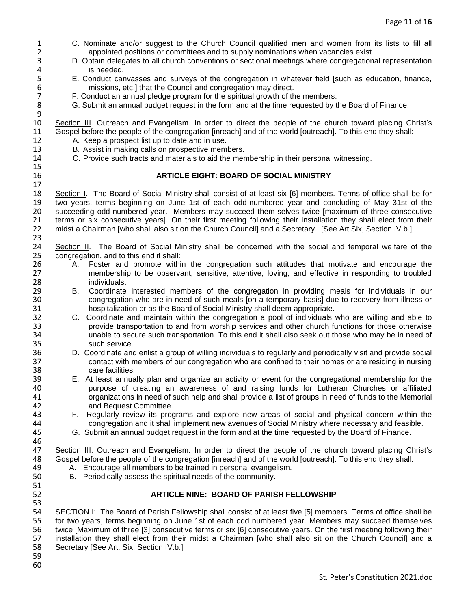- 1 C. Nominate and/or suggest to the Church Council qualified men and women from its lists to fill all 2<br>2 appointed positions or committees and to supply nominations when vacancies exist. 2 appointed positions or committees and to supply nominations when vacancies exist.<br>2 D. Obtain delegates to all church conventions or sectional meetings where congregation
- D. Obtain delegates to all church conventions or sectional meetings where congregational representation 4 is needed.<br>5 E. Conduct can
- 5 E. Conduct canvasses and surveys of the congregation in whatever field [such as education, finance, missions, etc.] that the Council and congregation may direct.
- 6 missions, etc.] that the Council and congregation may direct.<br>
7 F. Conduct an annual pledge program for the spiritual growth of th 7 F. Conduct an annual pledge program for the spiritual growth of the members.
	- 8 G. Submit an annual budget request in the form and at the time requested by the Board of Finance.

9<br>10 Section III. Outreach and Evangelism. In order to direct the people of the church toward placing Christ's 11 Gospel before the people of the congregation [inreach] and of the world [outreach]. To this end they shall:<br>12 A. Keep a prospect list up to date and in use.

- 12 A. Keep a prospect list up to date and in use.<br>13 B. Assist in making calls on prospective meml
	- B. Assist in making calls on prospective members.
- 14 C. Provide such tracts and materials to aid the membership in their personal witnessing.

### 16 **ARTICLE EIGHT: BOARD OF SOCIAL MINISTRY**

18 Section I. The Board of Social Ministry shall consist of at least six [6] members. Terms of office shall be for<br>19 two years, terms beginning on June 1st of each odd-numbered year and concluding of May 31st of the 19 two years, terms beginning on June 1st of each odd-numbered year and concluding of May 31st of the<br>20 succeeding odd-numbered year. Members may succeed them-selves twice [maximum of three consecutive 20 succeeding odd-numbered year. Members may succeed them-selves twice [maximum of three consecutive<br>21 terms or six consecutive vearsl. On their first meeting following their installation they shall elect from their 21 terms or six consecutive years]. On their first meeting following their installation they shall elect from their 22 midst a Chairman [who shall also sit on the Church Council] and a Secretary. [See Art.Six, Section IV.b.]

23<br>24 24 Section II. The Board of Social Ministry shall be concerned with the social and temporal welfare of the 25 congregation, and to this end it shall: 25 congregation, and to this end it shall:<br>26 A. Foster and promote withi

- 26 A. Foster and promote within the congregation such attitudes that motivate and encourage the<br>27 membership to be observant, sensitive, attentive, loving, and effective in responding to troubled 27 membership to be observant, sensitive, attentive, loving, and effective in responding to troubled 28 individuals.<br>29 B. Coordinate
- 29 B. Coordinate interested members of the congregation in providing meals for individuals in our 30 state congregation who are in need of such meals [on a temporary basis] due to recovery from illness or 31 state board of Social Ministry shall deem appropriate. 31 hospitalization or as the Board of Social Ministry shall deem appropriate.
- 32 C. Coordinate and maintain within the congregation a pool of individuals who are willing and able to 33 provide transportation to and from worship services and other church functions for those otherwise<br>34 unable to secure such transportation. To this end it shall also seek out those who may be in need of 34 unable to secure such transportation. To this end it shall also seek out those who may be in need of such service.
- 36 D. Coordinate and enlist a group of willing individuals to regularly and periodically visit and provide social<br>37 contact with members of our congregation who are confined to their homes or are residing in nursing contact with members of our congregation who are confined to their homes or are residing in nursing 38 care facilities.
- 39 E. At least annually plan and organize an activity or event for the congregational membership for the 40 purpose of creating an awareness of and raising funds for Lutheran Churches or affiliated<br>41 organizations in need of such help and shall provide a list of groups in need of funds to the Memorial 41 organizations in need of such help and shall provide a list of groups in need of funds to the Memorial<br>42 and Bequest Committee. 42 and Bequest Committee.<br>43 F. Regularly review its proc
- 43 F. Regularly review its programs and explore new areas of social and physical concern within the<br>44 congregation and it shall implement new avenues of Social Ministry where necessary and feasible. 44 congregation and it shall implement new avenues of Social Ministry where necessary and feasible.
- 45 G. Submit an annual budget request in the form and at the time requested by the Board of Finance.

46<br>47 Section III. Outreach and Evangelism. In order to direct the people of the church toward placing Christ's 48 Gospel before the people of the congregation [inreach] and of the world [outreach]. To this end they shall:<br>49 A. Encourage all members to be trained in personal evangelism.

- 49 A. Encourage all members to be trained in personal evangelism.<br>50 B. Periodically assess the spiritual needs of the community.
	- B. Periodically assess the spiritual needs of the community.

### 52 **ARTICLE NINE: BOARD OF PARISH FELLOWSHIP**

53<br>54 54 SECTION I: The Board of Parish Fellowship shall consist of at least five [5] members. Terms of office shall be<br>55 for two years, terms beginning on June 1st of each odd numbered year. Members may succeed themselves for two years, terms beginning on June 1st of each odd numbered year. Members may succeed themselves 56 twice [Maximum of three [3] consecutive terms or six [6] consecutive years. On the first meeting following their<br>57 installation they shall elect from their midst a Chairman [who shall also sit on the Church Council] an 57 installation they shall elect from their midst a Chairman [who shall also sit on the Church Council] and a<br>58 Secretary [See Art. Six, Section IV.b.] Secretary [See Art. Six, Section IV.b.]

59

51<br>52

15

17

60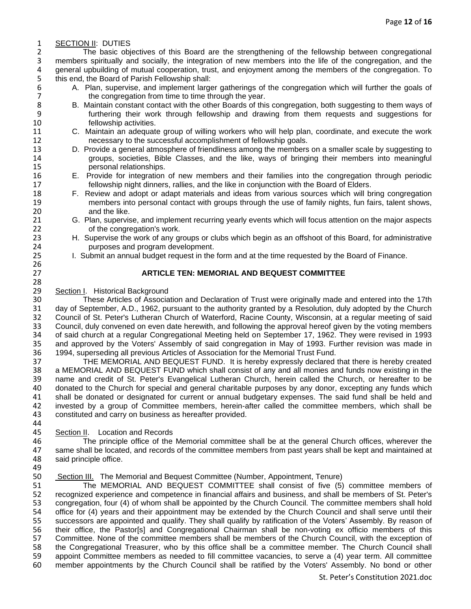# 1 **SECTION II:** DUTIES<br>2 The basic obie

2 The basic objectives of this Board are the strengthening of the fellowship between congregational<br>3 members spiritually and socially, the integration of new members into the life of the congregation, and the members spiritually and socially, the integration of new members into the life of the congregation, and the 4 general upbuilding of mutual cooperation, trust, and enjoyment among the members of the congregation. To 4<br>5 this end, the Board of Parish Fellowship shall: 5 this end, the Board of Parish Fellowship shall:<br>6 A. Plan, supervise, and implement large

- 6 A. Plan, supervise, and implement larger gatherings of the congregation which will further the goals of the congregation from time to time through the year. 7 the congregation from time to time through the year.<br>8 B. Maintain constant contact with the other Boards of this
- 8 B. Maintain constant contact with the other Boards of this congregation, both suggesting to them ways of furthering their work through fellowship and drawing from them requests and suggestions for furthering their work through fellowship and drawing from them requests and suggestions for 10 fellowship activities.
- 11 C. Maintain an adequate group of willing workers who will help plan, coordinate, and execute the work 12 necessary to the successful accomplishment of fellowship goals.<br>13 D. Provide a general atmosphere of friendliness among the members
- D. Provide a general atmosphere of friendliness among the members on a smaller scale by suggesting to 14 groups, societies, Bible Classes, and the like, ways of bringing their members into meaningful 15 personal relationships.
- 16 E. Provide for integration of new members and their families into the congregation through periodic 17 fellowship night dinners, rallies, and the like in conjunction with the Board of Elders.
- 18 F. Review and adopt or adapt materials and ideas from various sources which will bring congregation<br>19 members into personal contact with groups through the use of family nights, fun fairs, talent shows, 19 members into personal contact with groups through the use of family nights, fun fairs, talent shows,<br>20 and the like. 20 and the like.<br>21 G. Plan. supervis
- 21 G. Plan, supervise, and implement recurring yearly events which will focus attention on the major aspects 22 of the congregation's work.
- 23 H. Supervise the work of any groups or clubs which begin as an offshoot of this Board, for administrative 24 purposes and program development. purposes and program development.
- 25 I. Submit an annual budget request in the form and at the time requested by the Board of Finance.

### 27 **ARTICLE TEN: MEMORIAL AND BEQUEST COMMITTEE**

28<br>29 29 Section I. Historical Background<br>30 These Articles of Associa

26<br>27

30 These Articles of Association and Declaration of Trust were originally made and entered into the 17th<br>31 day of September, A.D., 1962, pursuant to the authority granted by a Resolution, duly adopted by the Church 31 day of September, A.D., 1962, pursuant to the authority granted by a Resolution, duly adopted by the Church 32 Council of St. Peter's Lutheran Church of Waterford, Racine County, Wisconsin, at a regular meeting of said<br>33 Council, duly convened on even date herewith, and following the approval hereof given by the voting members 33 Council, duly convened on even date herewith, and following the approval hereof given by the voting members<br>34 of said church at a regular Congregational Meeting held on September 17, 1962. They were revised in 1993 34 of said church at a regular Congregational Meeting held on September 17, 1962. They were revised in 1993<br>35 and approved by the Voters' Assembly of said congregation in May of 1993. Further revision was made in 35 and approved by the Voters' Assembly of said congregation in May of 1993. Further revision was made in 36 1994. Superseding all previous Articles of Association for the Memorial Trust Fund. 36 1994, superseding all previous Articles of Association for the Memorial Trust Fund.<br>37 THE MEMORIAL AND BEOUEST FUND. It is hereby expressiv declared to

37 THE MEMORIAL AND BEQUEST FUND. It is hereby expressly declared that there is hereby created<br>38 a MEMORIAL AND BEQUEST FUND which shall consist of any and all monies and funds now existing in the a MEMORIAL AND BEQUEST FUND which shall consist of any and all monies and funds now existing in the 39 name and credit of St. Peter's Evangelical Lutheran Church, herein called the Church, or hereafter to be<br>40 donated to the Church for special and general charitable purposes by any donor, excepting any funds which 40 donated to the Church for special and general charitable purposes by any donor, excepting any funds which<br>41 shall be donated or designated for current or annual budgetary expenses. The said fund shall be held and 41 shall be donated or designated for current or annual budgetary expenses. The said fund shall be held and<br>42 invested by a group of Committee members, herein-after called the committee members, which shall be 42 invested by a group of Committee members, herein-after called the committee members, which shall be 43 constituted and carry on business as hereafter provided. constituted and carry on business as hereafter provided. 44

45 Section II. Location and Records<br>46 The principle office of the 46 The principle office of the Memorial committee shall be at the general Church offices, wherever the<br>47 same shall be located, and records of the committee members from past vears shall be kept and maintained at same shall be located, and records of the committee members from past years shall be kept and maintained at 48 said principle office.

49<br>50 50 Section III. The Memorial and Bequest Committee (Number, Appointment, Tenure)

51 The MEMORIAL AND BEQUEST COMMITTEE shall consist of five (5) committee members of 52 recognized experience and competence in financial affairs and business, and shall be members of St. Peter's 52 recognized experience and competence in financial affairs and business, and shall be members of St. Peter's<br>53 congregation, four (4) of whom shall be appointed by the Church Council. The committee members shall hold 53 congregation, four (4) of whom shall be appointed by the Church Council. The committee members shall hold<br>54 office for (4) years and their appointment may be extended by the Church Council and shall serve until their 54 office for (4) years and their appointment may be extended by the Church Council and shall serve until their<br>55 successors are appointed and qualify. They shall qualify by ratification of the Voters' Assembly. By reason successors are appointed and qualify. They shall qualify by ratification of the Voters' Assembly. By reason of 56 their office, the Pastor[s] and Congregational Chairman shall be non-voting ex officio members of this<br>57 Committee. None of the committee members shall be members of the Church Council, with the exception of 57 Committee. None of the committee members shall be members of the Church Council, with the exception of 58 the Congregational Treasurer, who by this office shall be a committee member. The Church Council shall 58 the Congregational Treasurer, who by this office shall be a committee member. The Church Council shall<br>59 appoint Committee members as needed to fill committee vacancies, to serve a (4) vear term. All committee appoint Committee members as needed to fill committee vacancies, to serve a (4) year term. All committee 60 member appointments by the Church Council shall be ratified by the Voters' Assembly. No bond or other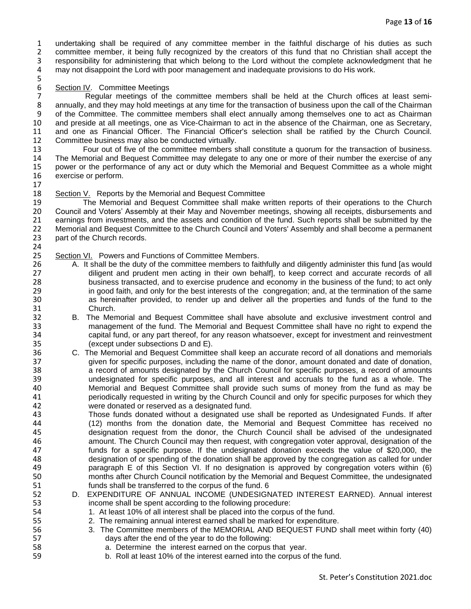1 undertaking shall be required of any committee member in the faithful discharge of his duties as such<br>2 committee member, it being fully recognized by the creators of this fund that no Christian shall accept the 2 committee member, it being fully recognized by the creators of this fund that no Christian shall accept the<br>3 responsibility for administering that which belong to the Lord without the complete acknowledgment that he responsibility for administering that which belong to the Lord without the complete acknowledgment that he 4 may not disappoint the Lord with poor management and inadequate provisions to do His work.

# 5<br>6

6 Section IV. Committee Meetings<br>7 Regular meetings of the 7 Regular meetings of the committee members shall be held at the Church offices at least semi-<br>8 annually, and they may hold meetings at any time for the transaction of business upon the call of the Chairman 8 annually, and they may hold meetings at any time for the transaction of business upon the call of the Chairman<br>9 of the Committee. The committee members shall elect annually among themselves one to act as Chairman of the Committee. The committee members shall elect annually among themselves one to act as Chairman 10 and preside at all meetings, one as Vice-Chairman to act in the absence of the Chairman, one as Secretary, 11 and one as Financial Officer. The Financial Officer's selection shall be ratified by the Church Council. 12 Committee business may also be conducted virtually.<br>13 Four out of five of the committee members s

Four out of five of the committee members shall constitute a quorum for the transaction of business. 14 The Memorial and Bequest Committee may delegate to any one or more of their number the exercise of any<br>15 Dower or the performance of any act or duty which the Memorial and Bequest Committee as a whole might 15 power or the performance of any act or duty which the Memorial and Bequest Committee as a whole might 16 exercise or perform.

17

# 18 Section V. Reports by the Memorial and Bequest Committee<br>19 The Memorial and Bequest Committee shall make w

19 The Memorial and Bequest Committee shall make written reports of their operations to the Church<br>10 Council and Voters' Assembly at their May and November meetings, showing all receipts, disbursements and 20 Council and Voters' Assembly at their May and November meetings, showing all receipts, disbursements and 21 earnings from investments, and the assets and condition of the fund. Such reports shall be submitted by the earnings from investments, and the assets and condition of the fund. Such reports shall be submitted by the 22 Memorial and Bequest Committee to the Church Council and Voters' Assembly and shall become a permanent 23 permanent<br>23 part of the Church records. part of the Church records.

### 24<br>25 25 Section VI. Powers and Functions of Committee Members.<br>26 A. It shall be the duty of the committee members to fail

- 26 A. It shall be the duty of the committee members to faithfully and diligently administer this fund [as would<br>27 diligent and prudent men acting in their own behalfl, to keep correct and accurate records of all 27 diligent and prudent men acting in their own behalf], to keep correct and accurate records of all 28 business transacted, and to exercise prudence and economy in the business of the fund; to act only 29 in good faith, and only for the best interests of the congregation; and, at the termination of the same<br>20 30 as hereinafter provided, to render up and deliver all the properties and funds of the fund to the 30 as hereinafter provided, to render up and deliver all the properties and funds of the fund to the 31 Church.<br>32 B. The Mer
- B. The Memorial and Bequest Committee shall have absolute and exclusive investment control and 33 management of the fund. The Memorial and Bequest Committee shall have no right to expend the<br>34 capital fund, or any part thereof, for any reason whatsoever, except for investment and reinvestment capital fund, or any part thereof, for any reason whatsoever, except for investment and reinvestment 35 (except under subsections D and E).
- 36 C. The Memorial and Bequest Committee shall keep an accurate record of all donations and memorials 37 given for specific purposes, including the name of the donor, amount donated and date of donation, 38 a record of amounts designated by the Church Council for specific purposes, a record of amounts 39 undesignated for specific purposes, and all interest and accruals to the fund as a whole. The Memorial and Bequest Committee shall provide such sums of money from the fund as may be 41 periodically requested in writing by the Church Council and only for specific purposes for which they 42 were donated or reserved as a designated fund.<br>43 Those funds donated without a designated use
- 43 Those funds donated without a designated use shall be reported as Undesignated Funds. If after<br>44 (12) months from the donation date, the Memorial and Bequest Committee has received no 44 (12) months from the donation date, the Memorial and Bequest Committee has received no 45 designation request from the donor, the Church Council shall be advised of the undesignated 46 amount. The Church Council may then request, with congregation voter approval, designation of the 47 funds for a specific purpose. If the undesignated donation exceeds the value of \$20,000, the 48 designation of or spending of the donation shall be approved by the congregation as called for under<br>49 **and the state of this Section VI.** If no designation is approved by congregation voters within (6) paragraph E of this Section VI. If no designation is approved by congregation voters within (6) 50 months after Church Council notification by the Memorial and Bequest Committee, the undesignated 51 funds shall be transferred to the corpus of the fund. 6<br>52 D. EXPENDITURE OF ANNUAL INCOME (UNDESIGN
- D. EXPENDITURE OF ANNUAL INCOME (UNDESIGNATED INTEREST EARNED). Annual interest 53 income shall be spent according to the following procedure:
- 54 1. At least 10% of all interest shall be placed into the corpus of the fund.
- 55 2. The remaining annual interest earned shall be marked for expenditure.
- 56 3. The Committee members of the MEMORIAL AND BEQUEST FUND shall meet within forty (40) 57 days after the end of the year to do the following:
- 58 a. Determine the interest earned on the corpus that year.
- 59 b. Roll at least 10% of the interest earned into the corpus of the fund.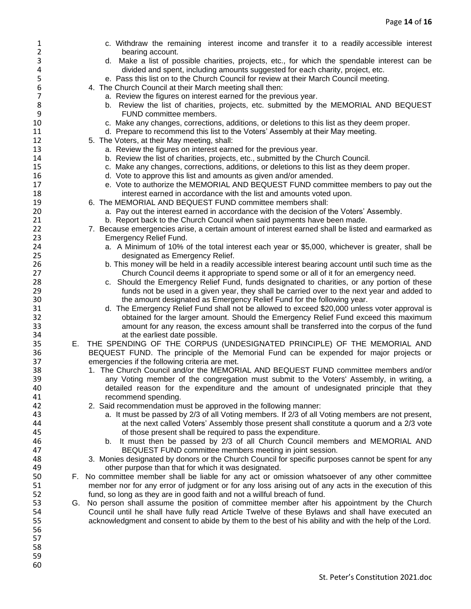| $\mathbf{1}$   |    | c. Withdraw the remaining interest income and transfer it to a readily accessible interest                                                                           |
|----------------|----|----------------------------------------------------------------------------------------------------------------------------------------------------------------------|
| $\overline{2}$ |    | bearing account.                                                                                                                                                     |
| 3              |    | d. Make a list of possible charities, projects, etc., for which the spendable interest can be                                                                        |
| 4              |    | divided and spent, including amounts suggested for each charity, project, etc.                                                                                       |
| 5              |    | e. Pass this list on to the Church Council for review at their March Council meeting.                                                                                |
| 6              |    | 4. The Church Council at their March meeting shall then:                                                                                                             |
| 7              |    | a. Review the figures on interest earned for the previous year.                                                                                                      |
| 8              |    | b. Review the list of charities, projects, etc. submitted by the MEMORIAL AND BEQUEST                                                                                |
| 9              |    | FUND committee members.                                                                                                                                              |
| 10             |    | c. Make any changes, corrections, additions, or deletions to this list as they deem proper.                                                                          |
| 11             |    | d. Prepare to recommend this list to the Voters' Assembly at their May meeting.                                                                                      |
| 12             |    | 5. The Voters, at their May meeting, shall:                                                                                                                          |
| 13             |    | a. Review the figures on interest earned for the previous year.                                                                                                      |
| 14             |    | b. Review the list of charities, projects, etc., submitted by the Church Council.                                                                                    |
| 15             |    | c. Make any changes, corrections, additions, or deletions to this list as they deem proper.                                                                          |
| 16             |    | d. Vote to approve this list and amounts as given and/or amended.                                                                                                    |
| 17             |    | e. Vote to authorize the MEMORIAL AND BEQUEST FUND committee members to pay out the                                                                                  |
| 18             |    | interest earned in accordance with the list and amounts voted upon.                                                                                                  |
| 19             |    | 6. The MEMORIAL AND BEQUEST FUND committee members shall:                                                                                                            |
| 20             |    | a. Pay out the interest earned in accordance with the decision of the Voters' Assembly.                                                                              |
| 21             |    | b. Report back to the Church Council when said payments have been made.                                                                                              |
| 22             |    | 7. Because emergencies arise, a certain amount of interest earned shall be listed and earmarked as                                                                   |
| 23             |    | <b>Emergency Relief Fund.</b>                                                                                                                                        |
| 24             |    | a. A Minimum of 10% of the total interest each year or \$5,000, whichever is greater, shall be                                                                       |
| 25             |    | designated as Emergency Relief.                                                                                                                                      |
| 26             |    | b. This money will be held in a readily accessible interest bearing account until such time as the                                                                   |
| 27             |    | Church Council deems it appropriate to spend some or all of it for an emergency need.                                                                                |
| 28             |    | c. Should the Emergency Relief Fund, funds designated to charities, or any portion of these                                                                          |
| 29             |    | funds not be used in a given year, they shall be carried over to the next year and added to                                                                          |
| 30             |    | the amount designated as Emergency Relief Fund for the following year.                                                                                               |
| 31             |    | d. The Emergency Relief Fund shall not be allowed to exceed \$20,000 unless voter approval is                                                                        |
| 32             |    | obtained for the larger amount. Should the Emergency Relief Fund exceed this maximum                                                                                 |
| 33             |    | amount for any reason, the excess amount shall be transferred into the corpus of the fund                                                                            |
| 34<br>35       |    | at the earliest date possible.                                                                                                                                       |
| 36             |    | E. THE SPENDING OF THE CORPUS (UNDESIGNATED PRINCIPLE) OF THE MEMORIAL AND<br>BEQUEST FUND. The principle of the Memorial Fund can be expended for major projects or |
| 37             |    | emergencies if the following criteria are met.                                                                                                                       |
| 38             |    | 1. The Church Council and/or the MEMORIAL AND BEQUEST FUND committee members and/or                                                                                  |
| 39             |    | any Voting member of the congregation must submit to the Voters' Assembly, in writing, a                                                                             |
| 40             |    | detailed reason for the expenditure and the amount of undesignated principle that they                                                                               |
| 41             |    | recommend spending.                                                                                                                                                  |
| 42             |    | 2. Said recommendation must be approved in the following manner:                                                                                                     |
| 43             |    | a. It must be passed by 2/3 of all Voting members. If 2/3 of all Voting members are not present,                                                                     |
| 44             |    | at the next called Voters' Assembly those present shall constitute a quorum and a 2/3 vote                                                                           |
| 45             |    | of those present shall be required to pass the expenditure.                                                                                                          |
| 46             |    | b. It must then be passed by 2/3 of all Church Council members and MEMORIAL AND                                                                                      |
| 47             |    | BEQUEST FUND committee members meeting in joint session.                                                                                                             |
| 48             |    | 3. Monies designated by donors or the Church Council for specific purposes cannot be spent for any                                                                   |
| 49             |    | other purpose than that for which it was designated.                                                                                                                 |
| 50             |    | F. No committee member shall be liable for any act or omission whatsoever of any other committee                                                                     |
| 51             |    | member nor for any error of judgment or for any loss arising out of any acts in the execution of this                                                                |
| 52             |    | fund, so long as they are in good faith and not a willful breach of fund.                                                                                            |
| 53             | G. | No person shall assume the position of committee member after his appointment by the Church                                                                          |
| 54             |    | Council until he shall have fully read Article Twelve of these Bylaws and shall have executed an                                                                     |
| 55             |    | acknowledgment and consent to abide by them to the best of his ability and with the help of the Lord.                                                                |
| 56             |    |                                                                                                                                                                      |
| 57             |    |                                                                                                                                                                      |
| 58             |    |                                                                                                                                                                      |
| 59             |    |                                                                                                                                                                      |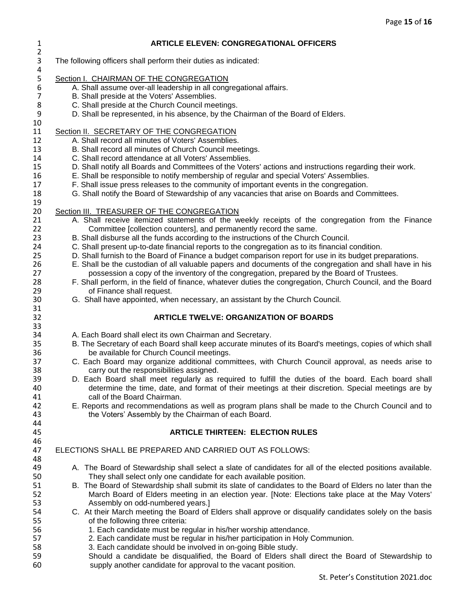| $\mathbf{1}$<br>$\overline{2}$ | <b>ARTICLE ELEVEN: CONGREGATIONAL OFFICERS</b>                                                                                                                                  |
|--------------------------------|---------------------------------------------------------------------------------------------------------------------------------------------------------------------------------|
| 3<br>4                         | The following officers shall perform their duties as indicated:                                                                                                                 |
| 5                              | Section I. CHAIRMAN OF THE CONGREGATION                                                                                                                                         |
| $\boldsymbol{6}$               | A. Shall assume over-all leadership in all congregational affairs.                                                                                                              |
| $\overline{7}$                 | B. Shall preside at the Voters' Assemblies.                                                                                                                                     |
| 8                              | C. Shall preside at the Church Council meetings.                                                                                                                                |
| 9                              | D. Shall be represented, in his absence, by the Chairman of the Board of Elders.                                                                                                |
| 10<br>11                       | Section II. SECRETARY OF THE CONGREGATION                                                                                                                                       |
| 12                             | A. Shall record all minutes of Voters' Assemblies.                                                                                                                              |
| 13                             | B. Shall record all minutes of Church Council meetings.                                                                                                                         |
| 14                             | C. Shall record attendance at all Voters' Assemblies.                                                                                                                           |
| 15                             | D. Shall notify all Boards and Committees of the Voters' actions and instructions regarding their work.                                                                         |
| 16                             | E. Shall be responsible to notify membership of regular and special Voters' Assemblies.                                                                                         |
| 17                             | F. Shall issue press releases to the community of important events in the congregation.                                                                                         |
| 18                             | G. Shall notify the Board of Stewardship of any vacancies that arise on Boards and Committees.                                                                                  |
| 19                             |                                                                                                                                                                                 |
| 20<br>21                       | Section III. TREASURER OF THE CONGREGATION<br>A. Shall receive itemized statements of the weekly receipts of the congregation from the Finance                                  |
| 22                             | Committee [collection counters], and permanently record the same.                                                                                                               |
| 23                             | B. Shall disburse all the funds according to the instructions of the Church Council.                                                                                            |
| 24                             | C. Shall present up-to-date financial reports to the congregation as to its financial condition.                                                                                |
| 25                             | D. Shall furnish to the Board of Finance a budget comparison report for use in its budget preparations.                                                                         |
| 26                             | E. Shall be the custodian of all valuable papers and documents of the congregation and shall have in his                                                                        |
| 27                             | possession a copy of the inventory of the congregation, prepared by the Board of Trustees.                                                                                      |
| 28                             | F. Shall perform, in the field of finance, whatever duties the congregation, Church Council, and the Board                                                                      |
| 29                             | of Finance shall request.                                                                                                                                                       |
| 30<br>31                       | G. Shall have appointed, when necessary, an assistant by the Church Council.                                                                                                    |
| 32                             | <b>ARTICLE TWELVE: ORGANIZATION OF BOARDS</b>                                                                                                                                   |
| 33<br>34                       | A. Each Board shall elect its own Chairman and Secretary.                                                                                                                       |
| 35                             | B. The Secretary of each Board shall keep accurate minutes of its Board's meetings, copies of which shall                                                                       |
| 36                             | be available for Church Council meetings.                                                                                                                                       |
| 37                             | C. Each Board may organize additional committees, with Church Council approval, as needs arise to                                                                               |
| 38                             | carry out the responsibilities assigned.                                                                                                                                        |
| 39                             | D. Each Board shall meet regularly as required to fulfill the duties of the board. Each board shall                                                                             |
| 40                             | determine the time, date, and format of their meetings at their discretion. Special meetings are by                                                                             |
| 41                             | call of the Board Chairman.                                                                                                                                                     |
| 42<br>43                       | E. Reports and recommendations as well as program plans shall be made to the Church Council and to<br>the Voters' Assembly by the Chairman of each Board.                       |
| 44                             |                                                                                                                                                                                 |
| 45                             | <b>ARTICLE THIRTEEN: ELECTION RULES</b>                                                                                                                                         |
| 46                             |                                                                                                                                                                                 |
| 47                             | ELECTIONS SHALL BE PREPARED AND CARRIED OUT AS FOLLOWS:                                                                                                                         |
| 48                             |                                                                                                                                                                                 |
| 49<br>50                       | A. The Board of Stewardship shall select a slate of candidates for all of the elected positions available.<br>They shall select only one candidate for each available position. |
| 51                             | B. The Board of Stewardship shall submit its slate of candidates to the Board of Elders no later than the                                                                       |
| 52                             | March Board of Elders meeting in an election year. [Note: Elections take place at the May Voters'                                                                               |
| 53                             | Assembly on odd-numbered years.]                                                                                                                                                |
| 54                             | C. At their March meeting the Board of Elders shall approve or disqualify candidates solely on the basis                                                                        |
| 55                             | of the following three criteria:                                                                                                                                                |
| 56<br>57                       | 1. Each candidate must be regular in his/her worship attendance.<br>2. Each candidate must be regular in his/her participation in Holy Communion.                               |
| 58                             | 3. Each candidate should be involved in on-going Bible study.                                                                                                                   |
| 59                             | Should a candidate be disqualified, the Board of Elders shall direct the Board of Stewardship to                                                                                |
| 60                             | supply another candidate for approval to the vacant position.                                                                                                                   |